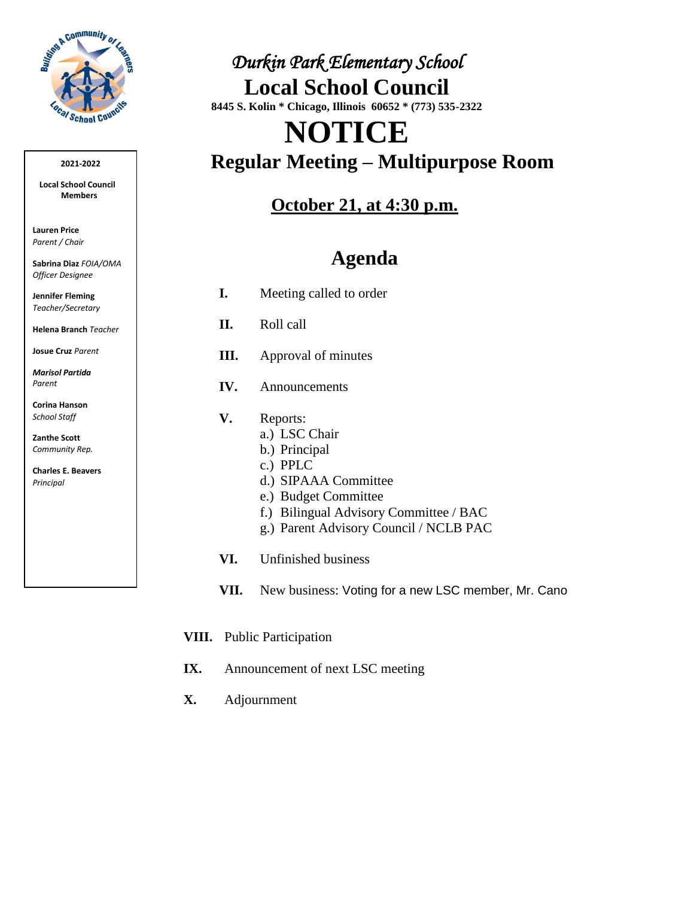

#### **2021-2022**

**Local School Council Members** 

**Lauren Price** *Parent / Chair*

**Sabrina Diaz** *FOIA/OMA Officer Designee*

**Jennifer Fleming** *Teacher/Secretary*

**Helena Branch** *Teacher*

**Josue Cruz** *Parent*

*Marisol Partida Parent*

**Corina Hanson** *School Staff*

**Zanthe Scott**  *Community Rep.*

**Charles E. Beavers** *Principal*

### *Durkin Park Elementary School*  **Local School Council 8445 S. Kolin \* Chicago, Illinois 60652 \* (773) 535-2322**

# **NOTICE Regular Meeting – Multipurpose Room**

### **October 21, at 4:30 p.m.**

# **Agenda**

- **I.** Meeting called to order
- **II.** Roll call
- **III.** Approval of minutes
- **IV.** Announcements
- **V.** Reports:
	- a.) LSC Chair
	- b.) Principal
	- c.) PPLC
	- d.) SIPAAA Committee
	- e.) Budget Committee
	- f.) Bilingual Advisory Committee / BAC
	- g.) Parent Advisory Council / NCLB PAC
- **VI.** Unfinished business
- **VII.** New business: Voting for a new LSC member, Mr. Cano
- **VIII.** Public Participation
- **IX.** Announcement of next LSC meeting
- **X.** Adjournment